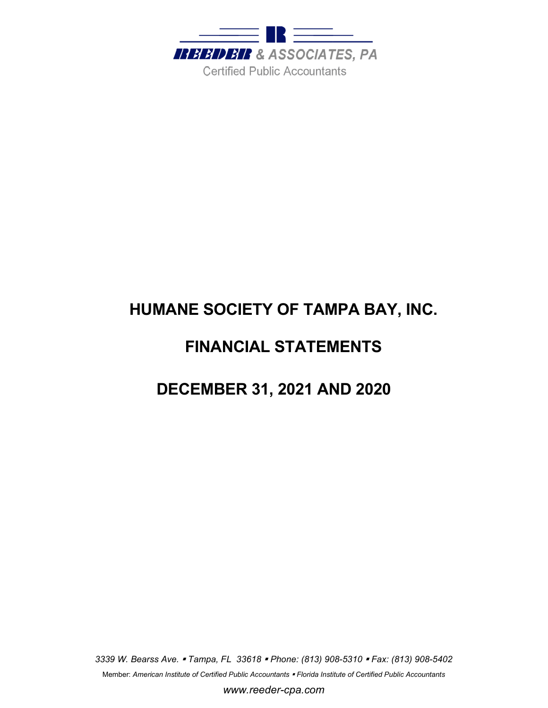

# **HUMANE SOCIETY OF TAMPA BAY, INC.**

# **FINANCIAL STATEMENTS**

# **DECEMBER 31, 2021 AND 2020**

*3339 W. Bearss Ave. Tampa, FL 33618 Phone: (813) 908-5310 Fax: (813) 908-5402*  Member: *American Institute of Certified Public Accountants Florida Institute of Certified Public Accountants*

*www.reeder-cpa.com*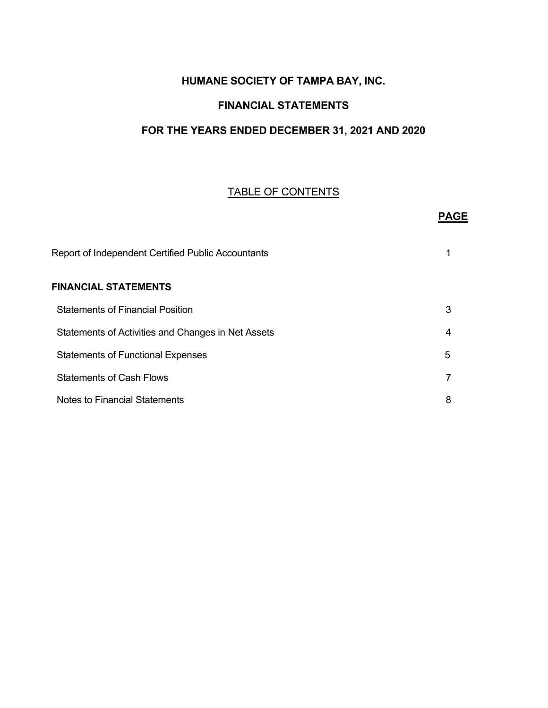# **HUMANE SOCIETY OF TAMPA BAY, INC.**

# **FINANCIAL STATEMENTS**

# **FOR THE YEARS ENDED DECEMBER 31, 2021 AND 2020**

# TABLE OF CONTENTS

| Report of Independent Certified Public Accountants |   |  |  |  |  |  |
|----------------------------------------------------|---|--|--|--|--|--|
| <b>FINANCIAL STATEMENTS</b>                        |   |  |  |  |  |  |
| <b>Statements of Financial Position</b>            | 3 |  |  |  |  |  |
| Statements of Activities and Changes in Net Assets | 4 |  |  |  |  |  |
| <b>Statements of Functional Expenses</b>           | 5 |  |  |  |  |  |
| <b>Statements of Cash Flows</b>                    | 7 |  |  |  |  |  |
| Notes to Financial Statements                      | 8 |  |  |  |  |  |

 **PAGE**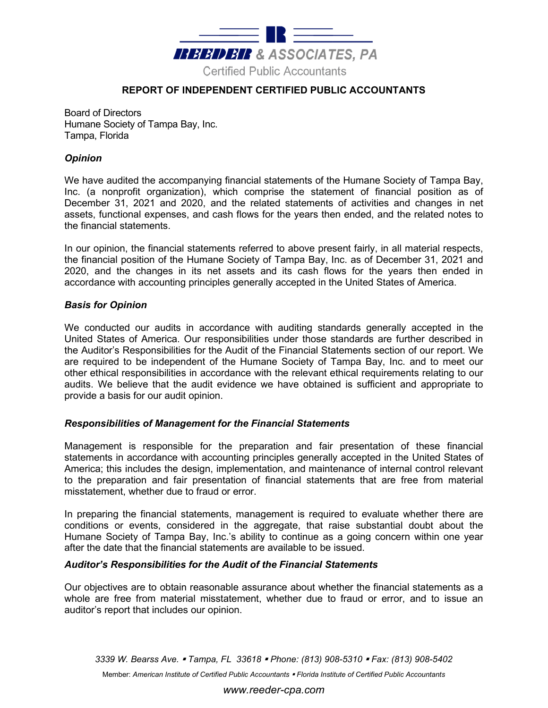

# **REPORT OF INDEPENDENT CERTIFIED PUBLIC ACCOUNTANTS**

Board of Directors Humane Society of Tampa Bay, Inc. Tampa, Florida

#### *Opinion*

We have audited the accompanying financial statements of the Humane Society of Tampa Bay, Inc. (a nonprofit organization), which comprise the statement of financial position as of December 31, 2021 and 2020, and the related statements of activities and changes in net assets, functional expenses, and cash flows for the years then ended, and the related notes to the financial statements.

In our opinion, the financial statements referred to above present fairly, in all material respects, the financial position of the Humane Society of Tampa Bay, Inc. as of December 31, 2021 and 2020, and the changes in its net assets and its cash flows for the years then ended in accordance with accounting principles generally accepted in the United States of America.

# *Basis for Opinion*

We conducted our audits in accordance with auditing standards generally accepted in the United States of America. Our responsibilities under those standards are further described in the Auditor's Responsibilities for the Audit of the Financial Statements section of our report. We are required to be independent of the Humane Society of Tampa Bay, Inc. and to meet our other ethical responsibilities in accordance with the relevant ethical requirements relating to our audits. We believe that the audit evidence we have obtained is sufficient and appropriate to provide a basis for our audit opinion.

# *Responsibilities of Management for the Financial Statements*

Management is responsible for the preparation and fair presentation of these financial statements in accordance with accounting principles generally accepted in the United States of America; this includes the design, implementation, and maintenance of internal control relevant to the preparation and fair presentation of financial statements that are free from material misstatement, whether due to fraud or error.

In preparing the financial statements, management is required to evaluate whether there are conditions or events, considered in the aggregate, that raise substantial doubt about the Humane Society of Tampa Bay, Inc.'s ability to continue as a going concern within one year after the date that the financial statements are available to be issued.

#### *Auditor's Responsibilities for the Audit of the Financial Statements*

Our objectives are to obtain reasonable assurance about whether the financial statements as a whole are free from material misstatement, whether due to fraud or error, and to issue an auditor's report that includes our opinion.

*3339 W. Bearss Ave. Tampa, FL 33618 Phone: (813) 908-5310 Fax: (813) 908-5402* 

Member: *American Institute of Certified Public Accountants Florida Institute of Certified Public Accountants*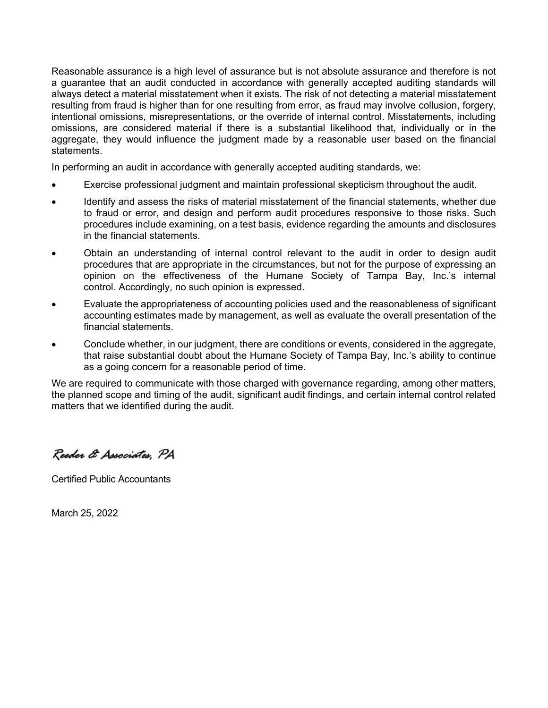Reasonable assurance is a high level of assurance but is not absolute assurance and therefore is not a guarantee that an audit conducted in accordance with generally accepted auditing standards will always detect a material misstatement when it exists. The risk of not detecting a material misstatement resulting from fraud is higher than for one resulting from error, as fraud may involve collusion, forgery, intentional omissions, misrepresentations, or the override of internal control. Misstatements, including omissions, are considered material if there is a substantial likelihood that, individually or in the aggregate, they would influence the judgment made by a reasonable user based on the financial statements.

In performing an audit in accordance with generally accepted auditing standards, we:

- Exercise professional judgment and maintain professional skepticism throughout the audit.
- Identify and assess the risks of material misstatement of the financial statements, whether due to fraud or error, and design and perform audit procedures responsive to those risks. Such procedures include examining, on a test basis, evidence regarding the amounts and disclosures in the financial statements.
- Obtain an understanding of internal control relevant to the audit in order to design audit procedures that are appropriate in the circumstances, but not for the purpose of expressing an opinion on the effectiveness of the Humane Society of Tampa Bay, Inc.'s internal control. Accordingly, no such opinion is expressed.
- Evaluate the appropriateness of accounting policies used and the reasonableness of significant accounting estimates made by management, as well as evaluate the overall presentation of the financial statements.
- Conclude whether, in our judgment, there are conditions or events, considered in the aggregate, that raise substantial doubt about the Humane Society of Tampa Bay, Inc.'s ability to continue as a going concern for a reasonable period of time.

We are required to communicate with those charged with governance regarding, among other matters, the planned scope and timing of the audit, significant audit findings, and certain internal control related matters that we identified during the audit.

Reeder & Associates, PA

Certified Public Accountants

March 25, 2022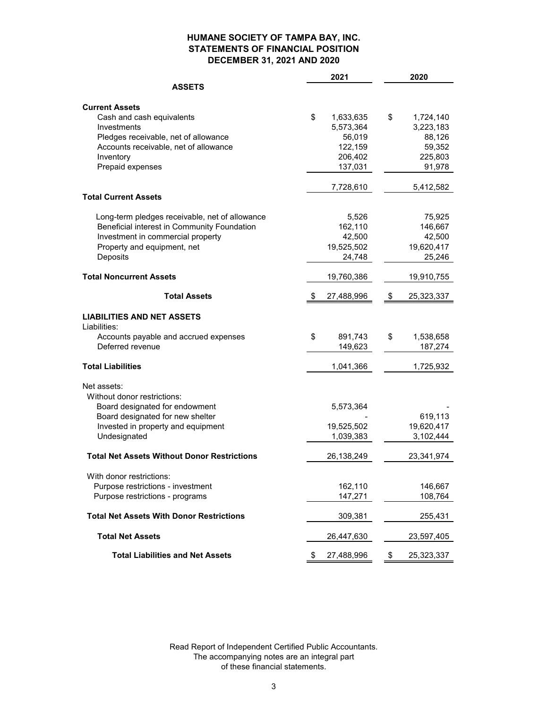# **HUMANE SOCIETY OF TAMPA BAY, INC. STATEMENTS OF FINANCIAL POSITION DECEMBER 31, 2021 AND 2020**

|                                                                                            | 2021             | 2020             |  |  |  |  |
|--------------------------------------------------------------------------------------------|------------------|------------------|--|--|--|--|
| <b>ASSETS</b>                                                                              |                  |                  |  |  |  |  |
| <b>Current Assets</b>                                                                      |                  |                  |  |  |  |  |
| Cash and cash equivalents                                                                  | \$<br>1,633,635  | \$<br>1,724,140  |  |  |  |  |
| Investments                                                                                | 5,573,364        | 3,223,183        |  |  |  |  |
| Pledges receivable, net of allowance                                                       | 56,019           | 88,126           |  |  |  |  |
| Accounts receivable, net of allowance                                                      | 122,159          | 59,352           |  |  |  |  |
| Inventory                                                                                  | 206,402          | 225,803          |  |  |  |  |
| Prepaid expenses                                                                           | 137,031          | 91,978           |  |  |  |  |
|                                                                                            | 7,728,610        | 5,412,582        |  |  |  |  |
| <b>Total Current Assets</b>                                                                |                  |                  |  |  |  |  |
| Long-term pledges receivable, net of allowance                                             | 5,526            | 75,925           |  |  |  |  |
| Beneficial interest in Community Foundation                                                | 162,110          | 146,667          |  |  |  |  |
| Investment in commercial property                                                          | 42,500           | 42,500           |  |  |  |  |
| Property and equipment, net                                                                | 19,525,502       | 19,620,417       |  |  |  |  |
| Deposits                                                                                   | 24,748           | 25,246           |  |  |  |  |
| <b>Total Noncurrent Assets</b>                                                             | 19,760,386       | 19,910,755       |  |  |  |  |
| <b>Total Assets</b>                                                                        | 27,488,996       | 25,323,337<br>\$ |  |  |  |  |
| <b>LIABILITIES AND NET ASSETS</b><br>Liabilities:<br>Accounts payable and accrued expenses | \$<br>891,743    | \$<br>1,538,658  |  |  |  |  |
| Deferred revenue                                                                           | 149,623          | 187,274          |  |  |  |  |
| <b>Total Liabilities</b>                                                                   | 1,041,366        | 1,725,932        |  |  |  |  |
| Net assets:                                                                                |                  |                  |  |  |  |  |
| Without donor restrictions:                                                                |                  |                  |  |  |  |  |
| Board designated for endowment                                                             | 5,573,364        |                  |  |  |  |  |
| Board designated for new shelter                                                           |                  | 619,113          |  |  |  |  |
| Invested in property and equipment                                                         | 19,525,502       | 19,620,417       |  |  |  |  |
| Undesignated                                                                               | 1,039,383        | 3,102,444        |  |  |  |  |
| <b>Total Net Assets Without Donor Restrictions</b>                                         | 26,138,249       | 23,341,974       |  |  |  |  |
| With donor restrictions:                                                                   |                  |                  |  |  |  |  |
| Purpose restrictions - investment                                                          | 162,110          | 146,667          |  |  |  |  |
| Purpose restrictions - programs                                                            | 147,271          | 108,764          |  |  |  |  |
| <b>Total Net Assets With Donor Restrictions</b>                                            | 309,381          | 255,431          |  |  |  |  |
| <b>Total Net Assets</b>                                                                    | 26,447,630       | 23,597,405       |  |  |  |  |
| <b>Total Liabilities and Net Assets</b>                                                    | \$<br>27,488,996 | \$<br>25,323,337 |  |  |  |  |

Read Report of Independent Certified Public Accountants. The accompanying notes are an integral part of these financial statements.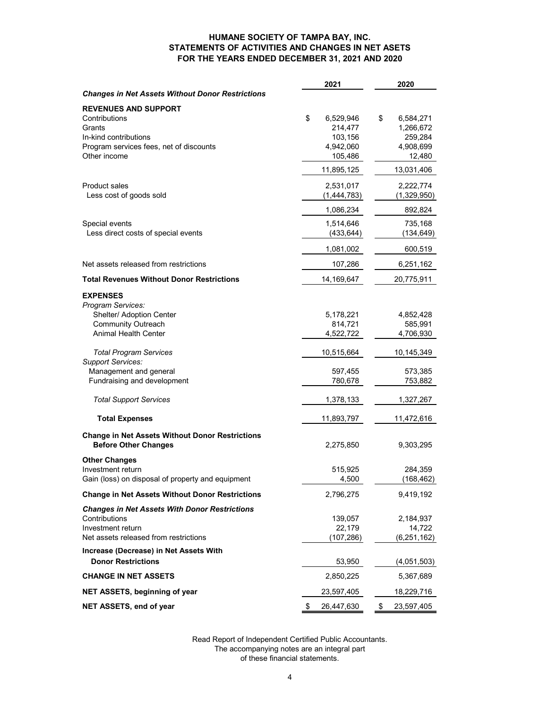#### **HUMANE SOCIETY OF TAMPA BAY, INC. STATEMENTS OF ACTIVITIES AND CHANGES IN NET ASETS FOR THE YEARS ENDED DECEMBER 31, 2021 AND 2020**

| <b>Changes in Net Assets Without Donor Restrictions</b><br><b>REVENUES AND SUPPORT</b><br>\$<br>Contributions<br>6,529,946<br>\$<br>6,584,271<br>214,477<br>Grants<br>1,266,672<br>In-kind contributions<br>103,156<br>259,284<br>Program services fees, net of discounts<br>4,942,060 |
|----------------------------------------------------------------------------------------------------------------------------------------------------------------------------------------------------------------------------------------------------------------------------------------|
|                                                                                                                                                                                                                                                                                        |
|                                                                                                                                                                                                                                                                                        |
|                                                                                                                                                                                                                                                                                        |
|                                                                                                                                                                                                                                                                                        |
|                                                                                                                                                                                                                                                                                        |
| 4,908,699                                                                                                                                                                                                                                                                              |
| Other income<br>105,486<br>12,480                                                                                                                                                                                                                                                      |
| 11,895,125<br>13,031,406                                                                                                                                                                                                                                                               |
| Product sales<br>2,531,017<br>2,222,774                                                                                                                                                                                                                                                |
| Less cost of goods sold<br>(1,444,783)<br>(1,329,950)                                                                                                                                                                                                                                  |
| 1,086,234<br>892,824                                                                                                                                                                                                                                                                   |
|                                                                                                                                                                                                                                                                                        |
| Special events<br>1,514,646<br>735,168                                                                                                                                                                                                                                                 |
| Less direct costs of special events<br>(433, 644)<br>(134, 649)                                                                                                                                                                                                                        |
| 1,081,002<br>600,519                                                                                                                                                                                                                                                                   |
| Net assets released from restrictions<br>107,286<br>6,251,162                                                                                                                                                                                                                          |
| <b>Total Revenues Without Donor Restrictions</b><br>14,169,647<br>20,775,911                                                                                                                                                                                                           |
| <b>EXPENSES</b>                                                                                                                                                                                                                                                                        |
| Program Services:                                                                                                                                                                                                                                                                      |
| Shelter/ Adoption Center<br>5,178,221<br>4,852,428                                                                                                                                                                                                                                     |
| <b>Community Outreach</b><br>814,721<br>585,991                                                                                                                                                                                                                                        |
| <b>Animal Health Center</b><br>4,522,722<br>4,706,930                                                                                                                                                                                                                                  |
| <b>Total Program Services</b><br>10,515,664<br>10,145,349                                                                                                                                                                                                                              |
| <b>Support Services:</b>                                                                                                                                                                                                                                                               |
| Management and general<br>597,455<br>573,385                                                                                                                                                                                                                                           |
| Fundraising and development<br>780,678<br>753,882                                                                                                                                                                                                                                      |
| <b>Total Support Services</b><br>1,378,133<br>1,327,267                                                                                                                                                                                                                                |
|                                                                                                                                                                                                                                                                                        |
| <b>Total Expenses</b><br>11,893,797<br>11,472,616                                                                                                                                                                                                                                      |
| <b>Change in Net Assets Without Donor Restrictions</b>                                                                                                                                                                                                                                 |
| <b>Before Other Changes</b><br>2,275,850<br>9,303,295                                                                                                                                                                                                                                  |
| <b>Other Changes</b>                                                                                                                                                                                                                                                                   |
| Investment return<br>515,925<br>284,359                                                                                                                                                                                                                                                |
| Gain (loss) on disposal of property and equipment<br>4,500<br>(168, 462)                                                                                                                                                                                                               |
| <b>Change in Net Assets Without Donor Restrictions</b><br>2,796,275<br>9,419,192                                                                                                                                                                                                       |
| <b>Changes in Net Assets With Donor Restrictions</b>                                                                                                                                                                                                                                   |
| Contributions<br>139,057<br>2,184,937                                                                                                                                                                                                                                                  |
| Investment return<br>22,179<br>14,722                                                                                                                                                                                                                                                  |
| Net assets released from restrictions<br>(107,286)<br>(6, 251, 162)                                                                                                                                                                                                                    |
| Increase (Decrease) in Net Assets With                                                                                                                                                                                                                                                 |
| <b>Donor Restrictions</b><br>53,950<br>(4,051,503)                                                                                                                                                                                                                                     |
| <b>CHANGE IN NET ASSETS</b><br>2,850,225<br>5,367,689                                                                                                                                                                                                                                  |
| NET ASSETS, beginning of year<br>23,597,405<br>18,229,716                                                                                                                                                                                                                              |
| NET ASSETS, end of year<br>26,447,630<br>\$<br>23,597,405<br>S                                                                                                                                                                                                                         |

Read Report of Independent Certified Public Accountants. The accompanying notes are an integral part of these financial statements.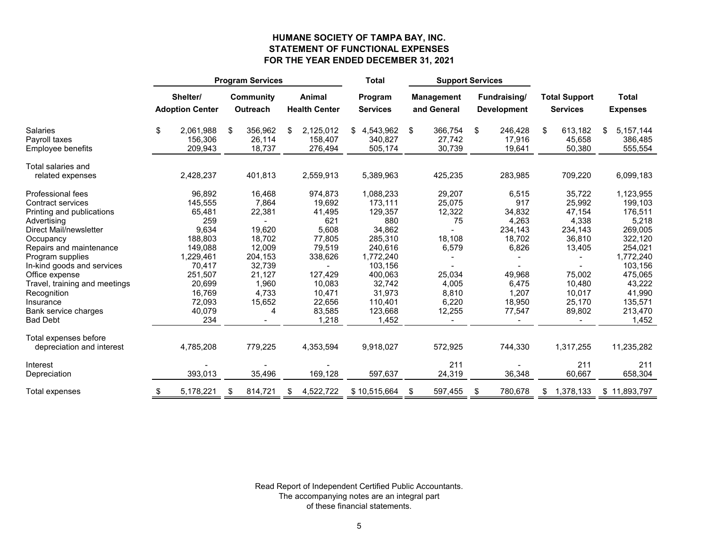### **HUMANE SOCIETY OF TAMPA BAY, INC. STATEMENT OF FUNCTIONAL EXPENSES FOR THE YEAR ENDED DECEMBER 31, 2021**

|                                                                                                                                                                                                                                                                                                                                  |                                                                                                                                                    |    | <b>Program Services</b>                                                                                                 |                                                                                                                                        |     | <b>Total</b>                                                                                                                                                 | <b>Support Services</b> |                                                                                                                      |                                                                                                                                 |                                                                                                                                                  |                                                                                                                                                                 |
|----------------------------------------------------------------------------------------------------------------------------------------------------------------------------------------------------------------------------------------------------------------------------------------------------------------------------------|----------------------------------------------------------------------------------------------------------------------------------------------------|----|-------------------------------------------------------------------------------------------------------------------------|----------------------------------------------------------------------------------------------------------------------------------------|-----|--------------------------------------------------------------------------------------------------------------------------------------------------------------|-------------------------|----------------------------------------------------------------------------------------------------------------------|---------------------------------------------------------------------------------------------------------------------------------|--------------------------------------------------------------------------------------------------------------------------------------------------|-----------------------------------------------------------------------------------------------------------------------------------------------------------------|
|                                                                                                                                                                                                                                                                                                                                  | Shelter/<br><b>Adoption Center</b>                                                                                                                 |    | <b>Community</b><br><b>Outreach</b>                                                                                     | Animal<br><b>Health Center</b>                                                                                                         |     | Program<br><b>Services</b>                                                                                                                                   |                         | <b>Management</b><br>and General                                                                                     | Fundraising/<br><b>Development</b>                                                                                              | <b>Total Support</b><br><b>Services</b>                                                                                                          | <b>Total</b><br><b>Expenses</b>                                                                                                                                 |
| <b>Salaries</b><br>Payroll taxes<br>Employee benefits                                                                                                                                                                                                                                                                            | \$<br>2,061,988<br>156,306<br>209,943                                                                                                              | \$ | 356,962<br>26,114<br>18,737                                                                                             | \$<br>2,125,012<br>158,407<br>276,494                                                                                                  | \$. | 4,543,962<br>340,827<br>505,174                                                                                                                              | \$                      | 366,754<br>27,742<br>30,739                                                                                          | \$<br>246,428<br>17,916<br>19,641                                                                                               | \$<br>613,182<br>45,658<br>50,380                                                                                                                | \$<br>5, 157, 144<br>386,485<br>555,554                                                                                                                         |
| Total salaries and<br>related expenses                                                                                                                                                                                                                                                                                           | 2,428,237                                                                                                                                          |    | 401,813                                                                                                                 | 2,559,913                                                                                                                              |     | 5,389,963                                                                                                                                                    |                         | 425,235                                                                                                              | 283,985                                                                                                                         | 709,220                                                                                                                                          | 6,099,183                                                                                                                                                       |
| Professional fees<br>Contract services<br>Printing and publications<br>Advertising<br>Direct Mail/newsletter<br>Occupancy<br>Repairs and maintenance<br>Program supplies<br>In-kind goods and services<br>Office expense<br>Travel, training and meetings<br>Recognition<br>Insurance<br>Bank service charges<br><b>Bad Debt</b> | 96,892<br>145,555<br>65,481<br>259<br>9,634<br>188,803<br>149,088<br>1,229,461<br>70,417<br>251,507<br>20,699<br>16,769<br>72,093<br>40,079<br>234 |    | 16,468<br>7,864<br>22,381<br>19,620<br>18,702<br>12,009<br>204,153<br>32,739<br>21,127<br>1,960<br>4,733<br>15,652<br>4 | 974,873<br>19,692<br>41,495<br>621<br>5,608<br>77,805<br>79,519<br>338,626<br>127,429<br>10,083<br>10,471<br>22,656<br>83,585<br>1,218 |     | 1,088,233<br>173,111<br>129,357<br>880<br>34,862<br>285,310<br>240,616<br>1,772,240<br>103,156<br>400,063<br>32,742<br>31,973<br>110,401<br>123,668<br>1,452 |                         | 29,207<br>25,075<br>12,322<br>75<br>18,108<br>6,579<br>25,034<br>4,005<br>8,810<br>6,220<br>12,255<br>$\blacksquare$ | 6,515<br>917<br>34,832<br>4,263<br>234,143<br>18,702<br>6,826<br>49,968<br>6,475<br>1,207<br>18,950<br>77,547<br>$\blacksquare$ | 35,722<br>25,992<br>47,154<br>4,338<br>234,143<br>36,810<br>13,405<br>75,002<br>10,480<br>10,017<br>25,170<br>89,802<br>$\overline{\phantom{a}}$ | 1,123,955<br>199,103<br>176,511<br>5,218<br>269,005<br>322,120<br>254,021<br>1,772,240<br>103,156<br>475,065<br>43,222<br>41,990<br>135,571<br>213,470<br>1,452 |
| Total expenses before<br>depreciation and interest                                                                                                                                                                                                                                                                               | 4,785,208                                                                                                                                          |    | 779,225                                                                                                                 | 4,353,594                                                                                                                              |     | 9,918,027                                                                                                                                                    |                         | 572,925                                                                                                              | 744,330                                                                                                                         | 1,317,255                                                                                                                                        | 11,235,282                                                                                                                                                      |
| Interest<br>Depreciation                                                                                                                                                                                                                                                                                                         | 393,013                                                                                                                                            |    | 35,496                                                                                                                  | 169,128                                                                                                                                |     | 597,637                                                                                                                                                      |                         | 211<br>24,319                                                                                                        | 36,348                                                                                                                          | 211<br>60,667                                                                                                                                    | 211<br>658,304                                                                                                                                                  |
| Total expenses                                                                                                                                                                                                                                                                                                                   | \$<br>5,178,221                                                                                                                                    | S. | 814,721                                                                                                                 | \$<br>4,522,722                                                                                                                        |     | \$10,515,664                                                                                                                                                 | \$                      | 597,455                                                                                                              | \$<br>780,678                                                                                                                   | \$1,378,133                                                                                                                                      | \$11,893,797                                                                                                                                                    |

Read Report of Independent Certified Public Accountants. The accompanying notes are an integral part of these financial statements.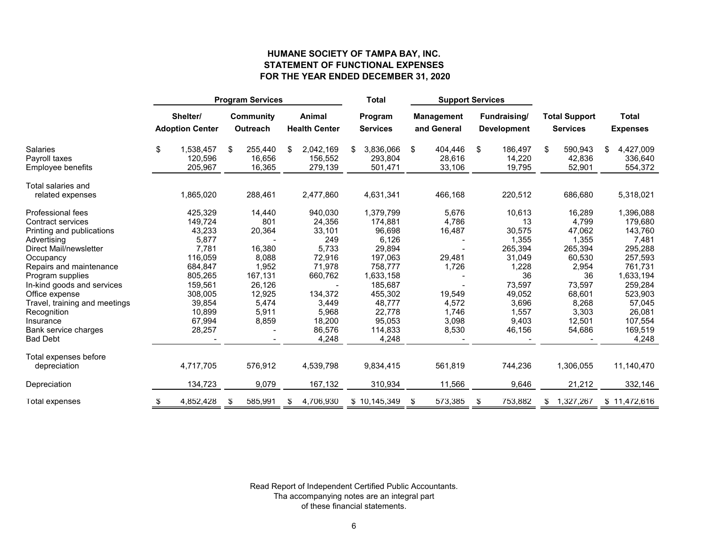### **HUMANE SOCIETY OF TAMPA BAY, INC. STATEMENT OF FUNCTIONAL EXPENSES FOR THE YEAR ENDED DECEMBER 31, 2020**

|                                                                                                                                                                                                                                                                                                                      |     |                                                                                                                                               |      | <b>Program Services</b>                                                                                       |    |                                                                                                                             | <b>Total</b><br><b>Support Services</b> |                                                                                                                                                     |     |                                                                                           |    |                                                                                                                              |                                                                                                                                  |                                                                                                                                                        |
|----------------------------------------------------------------------------------------------------------------------------------------------------------------------------------------------------------------------------------------------------------------------------------------------------------------------|-----|-----------------------------------------------------------------------------------------------------------------------------------------------|------|---------------------------------------------------------------------------------------------------------------|----|-----------------------------------------------------------------------------------------------------------------------------|-----------------------------------------|-----------------------------------------------------------------------------------------------------------------------------------------------------|-----|-------------------------------------------------------------------------------------------|----|------------------------------------------------------------------------------------------------------------------------------|----------------------------------------------------------------------------------------------------------------------------------|--------------------------------------------------------------------------------------------------------------------------------------------------------|
|                                                                                                                                                                                                                                                                                                                      |     | Shelter/<br><b>Adoption Center</b>                                                                                                            |      | Community<br>Outreach                                                                                         |    | Animal<br><b>Health Center</b>                                                                                              |                                         | Program<br><b>Services</b>                                                                                                                          |     | <b>Management</b><br>and General                                                          |    | Fundraising/<br><b>Development</b>                                                                                           | <b>Total Support</b><br><b>Services</b>                                                                                          | <b>Total</b><br><b>Expenses</b>                                                                                                                        |
|                                                                                                                                                                                                                                                                                                                      |     |                                                                                                                                               |      |                                                                                                               |    |                                                                                                                             |                                         |                                                                                                                                                     |     |                                                                                           |    |                                                                                                                              |                                                                                                                                  |                                                                                                                                                        |
| <b>Salaries</b><br>Payroll taxes<br>Employee benefits                                                                                                                                                                                                                                                                | \$  | 1,538,457<br>120,596<br>205,967                                                                                                               | \$   | 255,440<br>16,656<br>16,365                                                                                   | \$ | 2,042,169<br>156,552<br>279,139                                                                                             | \$                                      | 3,836,066<br>293,804<br>501,471                                                                                                                     | \$  | 404.446<br>28,616<br>33,106                                                               | \$ | 186.497<br>14,220<br>19,795                                                                                                  | \$<br>590,943<br>42,836<br>52,901                                                                                                | 4,427,009<br>\$<br>336,640<br>554,372                                                                                                                  |
| Total salaries and<br>related expenses                                                                                                                                                                                                                                                                               |     | 1,865,020                                                                                                                                     |      | 288,461                                                                                                       |    | 2,477,860                                                                                                                   |                                         | 4,631,341                                                                                                                                           |     | 466,168                                                                                   |    | 220,512                                                                                                                      | 686,680                                                                                                                          | 5,318,021                                                                                                                                              |
| Professional fees<br>Contract services<br>Printing and publications<br>Advertising<br><b>Direct Mail/newsletter</b><br>Occupancy<br>Repairs and maintenance<br>Program supplies<br>In-kind goods and services<br>Office expense<br>Travel, training and meetings<br>Recognition<br>Insurance<br>Bank service charges |     | 425,329<br>149,724<br>43,233<br>5,877<br>7,781<br>116,059<br>684,847<br>805,265<br>159,561<br>308,005<br>39,854<br>10,899<br>67,994<br>28,257 |      | 14,440<br>801<br>20,364<br>16,380<br>8,088<br>1,952<br>167,131<br>26,126<br>12,925<br>5,474<br>5,911<br>8,859 |    | 940,030<br>24,356<br>33,101<br>249<br>5,733<br>72,916<br>71,978<br>660,762<br>134,372<br>3,449<br>5,968<br>18,200<br>86,576 |                                         | 1,379,799<br>174,881<br>96,698<br>6,126<br>29,894<br>197,063<br>758,777<br>1,633,158<br>185,687<br>455,302<br>48.777<br>22,778<br>95,053<br>114,833 |     | 5,676<br>4,786<br>16,487<br>29,481<br>1,726<br>19,549<br>4,572<br>1,746<br>3,098<br>8,530 |    | 10,613<br>13<br>30,575<br>1,355<br>265,394<br>31,049<br>1,228<br>36<br>73,597<br>49,052<br>3,696<br>1,557<br>9,403<br>46,156 | 16,289<br>4,799<br>47,062<br>1,355<br>265,394<br>60,530<br>2,954<br>36<br>73,597<br>68,601<br>8,268<br>3,303<br>12,501<br>54,686 | 1,396,088<br>179,680<br>143,760<br>7,481<br>295,288<br>257,593<br>761,731<br>1,633,194<br>259,284<br>523,903<br>57,045<br>26,081<br>107,554<br>169,519 |
| <b>Bad Debt</b><br>Total expenses before<br>depreciation                                                                                                                                                                                                                                                             |     | 4,717,705                                                                                                                                     |      | 576,912                                                                                                       |    | 4,248<br>4,539,798                                                                                                          |                                         | 4,248<br>9,834,415                                                                                                                                  |     | 561,819                                                                                   |    | 744,236                                                                                                                      | 1,306,055                                                                                                                        | 4,248<br>11,140,470                                                                                                                                    |
| Depreciation                                                                                                                                                                                                                                                                                                         |     | 134,723                                                                                                                                       |      | 9,079                                                                                                         |    | 167,132                                                                                                                     |                                         | 310,934                                                                                                                                             |     | 11,566                                                                                    |    | 9,646                                                                                                                        | 21,212                                                                                                                           | 332,146                                                                                                                                                |
| Total expenses                                                                                                                                                                                                                                                                                                       | - 5 | 4,852,428                                                                                                                                     | - \$ | 585,991                                                                                                       | S  | 4,706,930                                                                                                                   |                                         | \$10,145,349                                                                                                                                        | - 5 | 573,385                                                                                   | \$ | 753,882                                                                                                                      | \$<br>1,327,267                                                                                                                  | \$11,472,616                                                                                                                                           |

Read Report of Independent Certified Public Accountants. Tha accompanying notes are an integral part of these financial statements.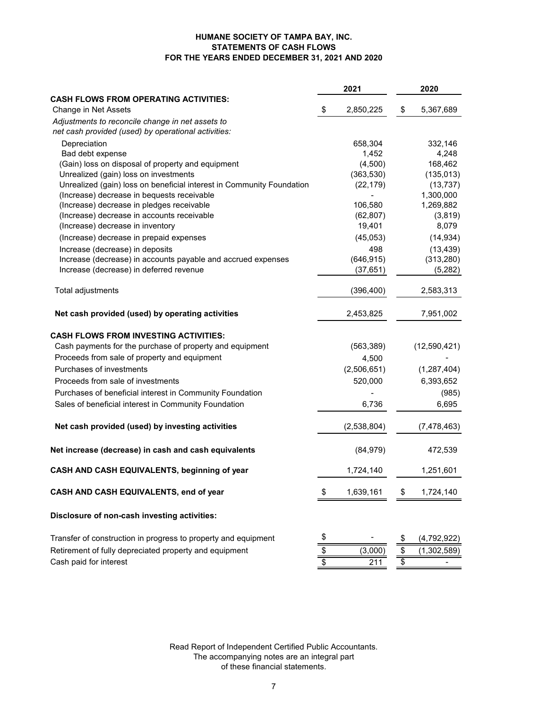#### **HUMANE SOCIETY OF TAMPA BAY, INC. STATEMENTS OF CASH FLOWS FOR THE YEARS ENDED DECEMBER 31, 2021 AND 2020**

|                                                                       |               | 2021                     |                       | 2020             |
|-----------------------------------------------------------------------|---------------|--------------------------|-----------------------|------------------|
| <b>CASH FLOWS FROM OPERATING ACTIVITIES:</b>                          |               |                          |                       |                  |
| Change in Net Assets                                                  | \$            | 2,850,225                | \$                    | 5,367,689        |
| Adjustments to reconcile change in net assets to                      |               |                          |                       |                  |
| net cash provided (used) by operational activities:                   |               |                          |                       |                  |
| Depreciation                                                          |               | 658,304                  |                       | 332,146          |
| Bad debt expense<br>(Gain) loss on disposal of property and equipment |               | 1,452<br>(4,500)         |                       | 4,248<br>168,462 |
| Unrealized (gain) loss on investments                                 |               | (363,530)                |                       | (135, 013)       |
| Unrealized (gain) loss on beneficial interest in Community Foundation |               | (22, 179)                |                       | (13, 737)        |
| (Increase) decrease in bequests receivable                            |               | $\overline{\phantom{0}}$ |                       | 1,300,000        |
| (Increase) decrease in pledges receivable                             |               | 106,580                  |                       | 1,269,882        |
| (Increase) decrease in accounts receivable                            |               | (62, 807)                |                       | (3,819)          |
| (Increase) decrease in inventory                                      |               | 19,401                   |                       | 8,079            |
| (Increase) decrease in prepaid expenses                               |               | (45, 053)                |                       | (14, 934)        |
| Increase (decrease) in deposits                                       |               | 498                      |                       | (13, 439)        |
| Increase (decrease) in accounts payable and accrued expenses          |               | (646, 915)               |                       | (313, 280)       |
| Increase (decrease) in deferred revenue                               |               | (37, 651)                |                       | (5, 282)         |
| Total adjustments                                                     |               | (396, 400)               |                       | 2,583,313        |
| Net cash provided (used) by operating activities                      |               | 2,453,825                |                       | 7,951,002        |
| <b>CASH FLOWS FROM INVESTING ACTIVITIES:</b>                          |               |                          |                       |                  |
| Cash payments for the purchase of property and equipment              |               | (563, 389)               |                       | (12,590,421)     |
| Proceeds from sale of property and equipment                          |               | 4,500                    |                       |                  |
| Purchases of investments                                              |               | (2,506,651)              |                       | (1, 287, 404)    |
| Proceeds from sale of investments                                     |               | 520,000                  |                       | 6,393,652        |
| Purchases of beneficial interest in Community Foundation              |               |                          |                       | (985)            |
| Sales of beneficial interest in Community Foundation                  |               | 6,736                    |                       | 6,695            |
| Net cash provided (used) by investing activities                      |               | (2,538,804)              |                       | (7, 478, 463)    |
| Net increase (decrease) in cash and cash equivalents                  |               | (84, 979)                |                       | 472,539          |
| CASH AND CASH EQUIVALENTS, beginning of year                          |               | 1,724,140                |                       | 1,251,601        |
| CASH AND CASH EQUIVALENTS, end of year                                | \$            | 1,639,161                | \$                    | 1,724,140        |
| Disclosure of non-cash investing activities:                          |               |                          |                       |                  |
| Transfer of construction in progress to property and equipment        | \$            |                          | \$                    | (4,792,922)      |
| Retirement of fully depreciated property and equipment                | $\frac{1}{2}$ | (3,000)                  | \$                    | (1,302,589)      |
| Cash paid for interest                                                | $\frac{1}{2}$ | <u>211</u>               | $\boldsymbol{\theta}$ |                  |
|                                                                       |               |                          |                       |                  |

Read Report of Independent Certified Public Accountants. The accompanying notes are an integral part of these financial statements.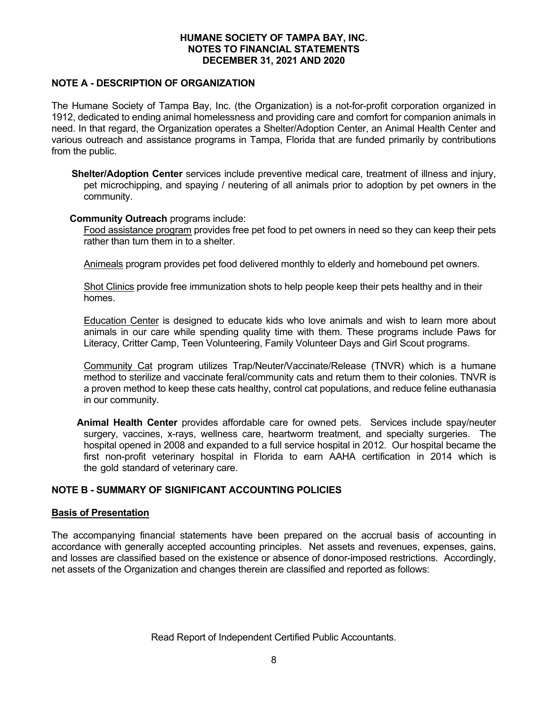## **NOTE A - DESCRIPTION OF ORGANIZATION**

The Humane Society of Tampa Bay, Inc. (the Organization) is a not-for-profit corporation organized in 1912, dedicated to ending animal homelessness and providing care and comfort for companion animals in need. In that regard, the Organization operates a Shelter/Adoption Center, an Animal Health Center and various outreach and assistance programs in Tampa, Florida that are funded primarily by contributions from the public.

**Shelter/Adoption Center** services include preventive medical care, treatment of illness and injury, pet microchipping, and spaying / neutering of all animals prior to adoption by pet owners in the community.

#### **Community Outreach** programs include:

Food assistance program provides free pet food to pet owners in need so they can keep their pets rather than turn them in to a shelter

Animeals program provides pet food delivered monthly to elderly and homebound pet owners.

Shot Clinics provide free immunization shots to help people keep their pets healthy and in their homes.

Education Center is designed to educate kids who love animals and wish to learn more about animals in our care while spending quality time with them. These programs include Paws for Literacy, Critter Camp, Teen Volunteering, Family Volunteer Days and Girl Scout programs.

Community Cat program utilizes Trap/Neuter/Vaccinate/Release (TNVR) which is a humane method to sterilize and vaccinate feral/community cats and return them to their colonies. TNVR is a proven method to keep these cats healthy, control cat populations, and reduce feline euthanasia in our community.

 **Animal Health Center** provides affordable care for owned pets. Services include spay/neuter surgery, vaccines, x-rays, wellness care, heartworm treatment, and specialty surgeries. The hospital opened in 2008 and expanded to a full service hospital in 2012. Our hospital became the first non-profit veterinary hospital in Florida to earn AAHA certification in 2014 which is the gold standard of veterinary care.

# **NOTE B - SUMMARY OF SIGNIFICANT ACCOUNTING POLICIES**

#### **Basis of Presentation**

The accompanying financial statements have been prepared on the accrual basis of accounting in accordance with generally accepted accounting principles. Net assets and revenues, expenses, gains, and losses are classified based on the existence or absence of donor-imposed restrictions. Accordingly, net assets of the Organization and changes therein are classified and reported as follows: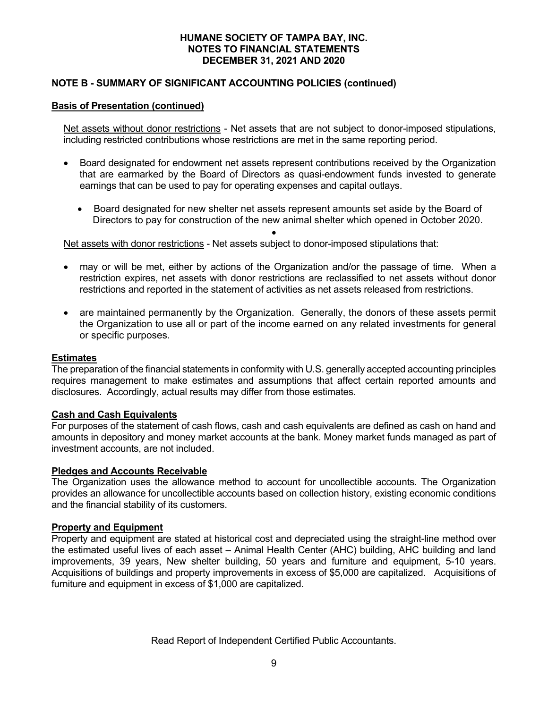# **NOTE B - SUMMARY OF SIGNIFICANT ACCOUNTING POLICIES (continued)**

# **Basis of Presentation (continued)**

Net assets without donor restrictions - Net assets that are not subject to donor-imposed stipulations, including restricted contributions whose restrictions are met in the same reporting period.

- Board designated for endowment net assets represent contributions received by the Organization that are earmarked by the Board of Directors as quasi-endowment funds invested to generate earnings that can be used to pay for operating expenses and capital outlays.
	- Board designated for new shelter net assets represent amounts set aside by the Board of Directors to pay for construction of the new animal shelter which opened in October 2020.

 $\bullet$ Net assets with donor restrictions - Net assets subject to donor-imposed stipulations that:

- may or will be met, either by actions of the Organization and/or the passage of time. When a restriction expires, net assets with donor restrictions are reclassified to net assets without donor restrictions and reported in the statement of activities as net assets released from restrictions.
- are maintained permanently by the Organization. Generally, the donors of these assets permit the Organization to use all or part of the income earned on any related investments for general or specific purposes.

#### **Estimates**

The preparation of the financial statements in conformity with U.S. generally accepted accounting principles requires management to make estimates and assumptions that affect certain reported amounts and disclosures. Accordingly, actual results may differ from those estimates.

#### **Cash and Cash Equivalents**

For purposes of the statement of cash flows, cash and cash equivalents are defined as cash on hand and amounts in depository and money market accounts at the bank. Money market funds managed as part of investment accounts, are not included.

#### **Pledges and Accounts Receivable**

The Organization uses the allowance method to account for uncollectible accounts. The Organization provides an allowance for uncollectible accounts based on collection history, existing economic conditions and the financial stability of its customers.

#### **Property and Equipment**

Property and equipment are stated at historical cost and depreciated using the straight-line method over the estimated useful lives of each asset – Animal Health Center (AHC) building, AHC building and land improvements, 39 years, New shelter building, 50 years and furniture and equipment, 5-10 years. Acquisitions of buildings and property improvements in excess of \$5,000 are capitalized. Acquisitions of furniture and equipment in excess of \$1,000 are capitalized.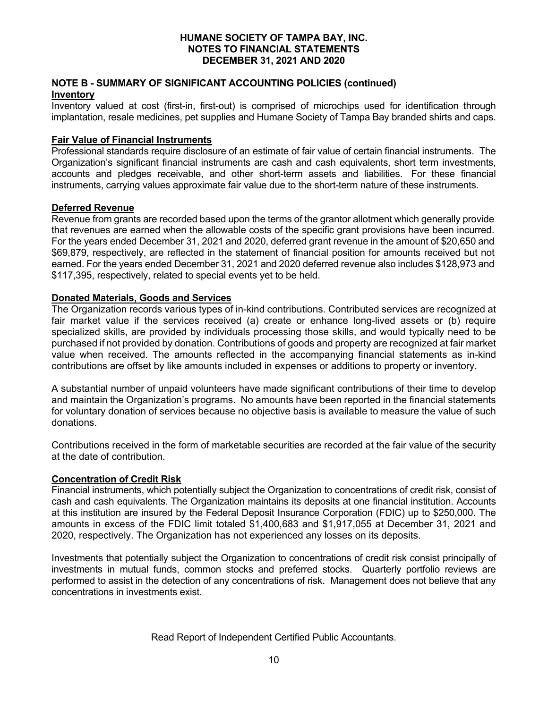# **NOTE B - SUMMARY OF SIGNIFICANT ACCOUNTING POLICIES (continued) Inventory**

Inventory valued at cost (first-in, first-out) is comprised of microchips used for identification through implantation, resale medicines, pet supplies and Humane Society of Tampa Bay branded shirts and caps.

# **Fair Value of Financial Instruments**

Professional standards require disclosure of an estimate of fair value of certain financial instruments. The Organization's significant financial instruments are cash and cash equivalents, short term investments, accounts and pledges receivable, and other short-term assets and liabilities. For these financial instruments, carrying values approximate fair value due to the short-term nature of these instruments.

# **Deferred Revenue**

Revenue from grants are recorded based upon the terms of the grantor allotment which generally provide that revenues are earned when the allowable costs of the specific grant provisions have been incurred. For the years ended December 31, 2021 and 2020, deferred grant revenue in the amount of \$20,650 and \$69,879, respectively, are reflected in the statement of financial position for amounts received but not earned. For the years ended December 31, 2021 and 2020 deferred revenue also includes \$128,973 and \$117,395, respectively, related to special events yet to be held.

# **Donated Materials, Goods and Services**

The Organization records various types of in-kind contributions. Contributed services are recognized at fair market value if the services received (a) create or enhance long-lived assets or (b) require specialized skills, are provided by individuals processing those skills, and would typically need to be purchased if not provided by donation. Contributions of goods and property are recognized at fair market value when received. The amounts reflected in the accompanying financial statements as in-kind contributions are offset by like amounts included in expenses or additions to property or inventory.

A substantial number of unpaid volunteers have made significant contributions of their time to develop and maintain the Organization's programs. No amounts have been reported in the financial statements for voluntary donation of services because no objective basis is available to measure the value of such donations.

Contributions received in the form of marketable securities are recorded at the fair value of the security at the date of contribution.

# **Concentration of Credit Risk**

Financial instruments, which potentially subject the Organization to concentrations of credit risk, consist of cash and cash equivalents. The Organization maintains its deposits at one financial institution. Accounts at this institution are insured by the Federal Deposit Insurance Corporation (FDIC) up to \$250,000. The amounts in excess of the FDIC limit totaled \$1,400,683 and \$1,917,055 at December 31, 2021 and 2020, respectively. The Organization has not experienced any losses on its deposits.

Investments that potentially subject the Organization to concentrations of credit risk consist principally of investments in mutual funds, common stocks and preferred stocks. Quarterly portfolio reviews are performed to assist in the detection of any concentrations of risk. Management does not believe that any concentrations in investments exist.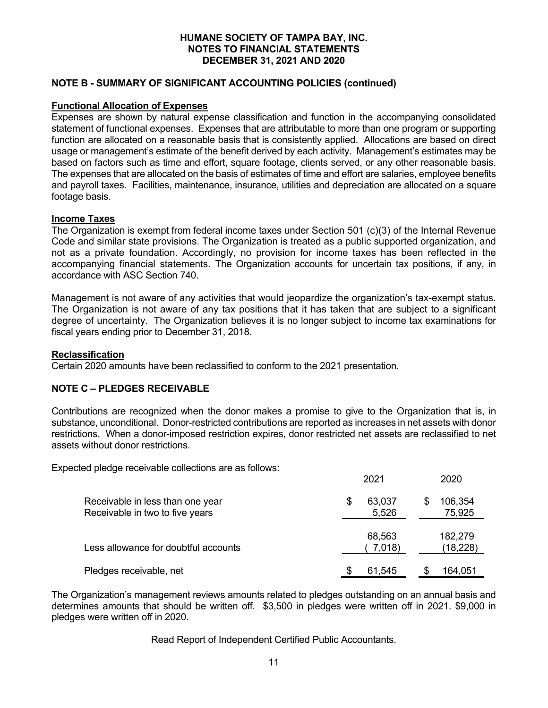# **NOTE B - SUMMARY OF SIGNIFICANT ACCOUNTING POLICIES (continued)**

#### **Functional Allocation of Expenses**

Expenses are shown by natural expense classification and function in the accompanying consolidated statement of functional expenses. Expenses that are attributable to more than one program or supporting function are allocated on a reasonable basis that is consistently applied. Allocations are based on direct usage or management's estimate of the benefit derived by each activity. Management's estimates may be based on factors such as time and effort, square footage, clients served, or any other reasonable basis. The expenses that are allocated on the basis of estimates of time and effort are salaries, employee benefits and payroll taxes. Facilities, maintenance, insurance, utilities and depreciation are allocated on a square footage basis.

#### **Income Taxes**

The Organization is exempt from federal income taxes under Section 501 (c)(3) of the Internal Revenue Code and similar state provisions. The Organization is treated as a public supported organization, and not as a private foundation. Accordingly, no provision for income taxes has been reflected in the accompanying financial statements. The Organization accounts for uncertain tax positions, if any, in accordance with ASC Section 740.

Management is not aware of any activities that would jeopardize the organization's tax-exempt status. The Organization is not aware of any tax positions that it has taken that are subject to a significant degree of uncertainty. The Organization believes it is no longer subject to income tax examinations for fiscal years ending prior to December 31, 2018.

#### **Reclassification**

Certain 2020 amounts have been reclassified to conform to the 2021 presentation.

### **NOTE C – PLEDGES RECEIVABLE**

Contributions are recognized when the donor makes a promise to give to the Organization that is, in substance, unconditional. Donor-restricted contributions are reported as increases in net assets with donor restrictions. When a donor-imposed restriction expires, donor restricted net assets are reclassified to net assets without donor restrictions.

Expected pledge receivable collections are as follows:

|                                                                     | 2021            | 2020                |
|---------------------------------------------------------------------|-----------------|---------------------|
| Receivable in less than one year<br>Receivable in two to five years | 63,037<br>5,526 | 106,354<br>75,925   |
| Less allowance for doubtful accounts                                | 68,563<br>7,018 | 182,279<br>(18,228) |
| Pledges receivable, net                                             | 61,545          | 164,051             |

The Organization's management reviews amounts related to pledges outstanding on an annual basis and determines amounts that should be written off. \$3,500 in pledges were written off in 2021. \$9,000 in pledges were written off in 2020.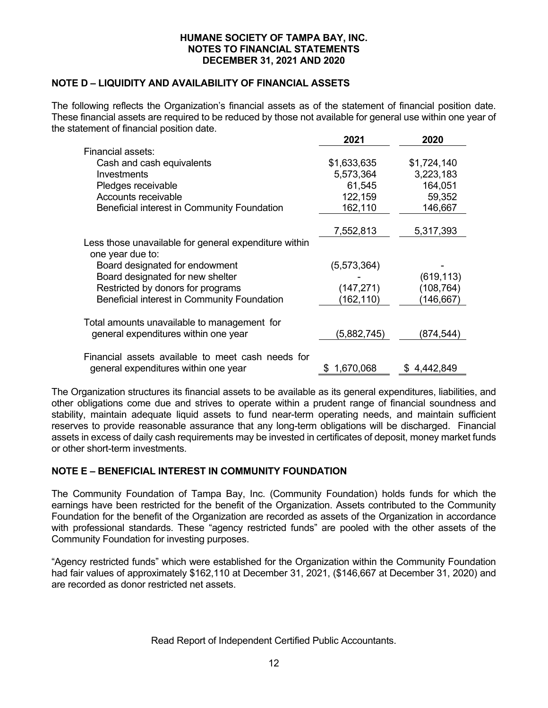# **NOTE D – LIQUIDITY AND AVAILABILITY OF FINANCIAL ASSETS**

The following reflects the Organization's financial assets as of the statement of financial position date. These financial assets are required to be reduced by those not available for general use within one year of the statement of financial position date.

|                                                                           | 2021          | 2020        |
|---------------------------------------------------------------------------|---------------|-------------|
| Financial assets:                                                         |               |             |
| Cash and cash equivalents                                                 | \$1,633,635   | \$1,724,140 |
| Investments                                                               | 5,573,364     | 3,223,183   |
| Pledges receivable                                                        | 61,545        | 164,051     |
| Accounts receivable                                                       | 122,159       | 59,352      |
| Beneficial interest in Community Foundation                               | 162,110       | 146,667     |
|                                                                           |               |             |
|                                                                           | 7,552,813     | 5,317,393   |
| Less those unavailable for general expenditure within<br>one year due to: |               |             |
| Board designated for endowment                                            | (5, 573, 364) |             |
| Board designated for new shelter                                          |               | (619, 113)  |
| Restricted by donors for programs                                         | (147, 271)    | (108,764)   |
| Beneficial interest in Community Foundation                               | (162,110)     | (146, 667)  |
| Total amounts unavailable to management for                               |               |             |
| general expenditures within one year                                      | (5,882,745)   | (874,544)   |
| Financial assets available to meet cash needs for                         |               |             |
| general expenditures within one year                                      | \$1,670,068   | \$4,442,849 |

The Organization structures its financial assets to be available as its general expenditures, liabilities, and other obligations come due and strives to operate within a prudent range of financial soundness and stability, maintain adequate liquid assets to fund near-term operating needs, and maintain sufficient reserves to provide reasonable assurance that any long-term obligations will be discharged. Financial assets in excess of daily cash requirements may be invested in certificates of deposit, money market funds or other short-term investments.

# **NOTE E – BENEFICIAL INTEREST IN COMMUNITY FOUNDATION**

The Community Foundation of Tampa Bay, Inc. (Community Foundation) holds funds for which the earnings have been restricted for the benefit of the Organization. Assets contributed to the Community Foundation for the benefit of the Organization are recorded as assets of the Organization in accordance with professional standards. These "agency restricted funds" are pooled with the other assets of the Community Foundation for investing purposes.

"Agency restricted funds" which were established for the Organization within the Community Foundation had fair values of approximately \$162,110 at December 31, 2021, (\$146,667 at December 31, 2020) and are recorded as donor restricted net assets.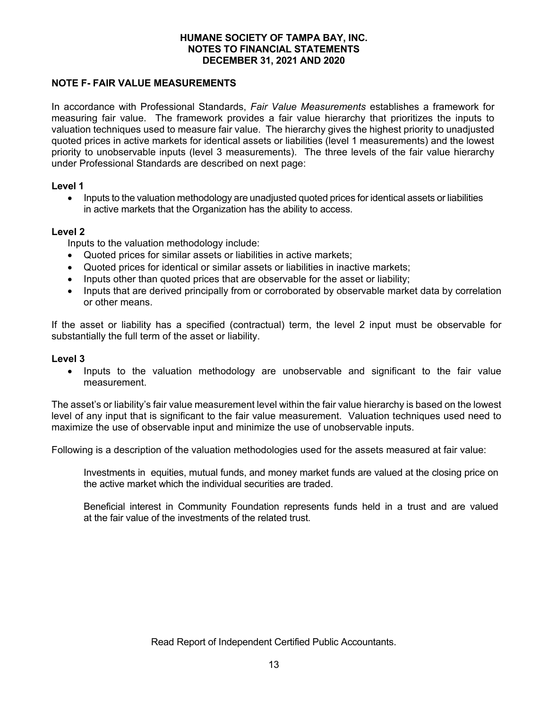# **NOTE F- FAIR VALUE MEASUREMENTS**

In accordance with Professional Standards, *Fair Value Measurements* establishes a framework for measuring fair value. The framework provides a fair value hierarchy that prioritizes the inputs to valuation techniques used to measure fair value. The hierarchy gives the highest priority to unadjusted quoted prices in active markets for identical assets or liabilities (level 1 measurements) and the lowest priority to unobservable inputs (level 3 measurements). The three levels of the fair value hierarchy under Professional Standards are described on next page:

#### **Level 1**

• Inputs to the valuation methodology are unadiusted quoted prices for identical assets or liabilities in active markets that the Organization has the ability to access.

# **Level 2**

Inputs to the valuation methodology include:

- Quoted prices for similar assets or liabilities in active markets;
- Quoted prices for identical or similar assets or liabilities in inactive markets;
- Inputs other than quoted prices that are observable for the asset or liability;
- Inputs that are derived principally from or corroborated by observable market data by correlation or other means.

If the asset or liability has a specified (contractual) term, the level 2 input must be observable for substantially the full term of the asset or liability.

#### **Level 3**

• Inputs to the valuation methodology are unobservable and significant to the fair value measurement.

The asset's or liability's fair value measurement level within the fair value hierarchy is based on the lowest level of any input that is significant to the fair value measurement. Valuation techniques used need to maximize the use of observable input and minimize the use of unobservable inputs.

Following is a description of the valuation methodologies used for the assets measured at fair value:

 Investments in equities, mutual funds, and money market funds are valued at the closing price on the active market which the individual securities are traded.

 Beneficial interest in Community Foundation represents funds held in a trust and are valued at the fair value of the investments of the related trust.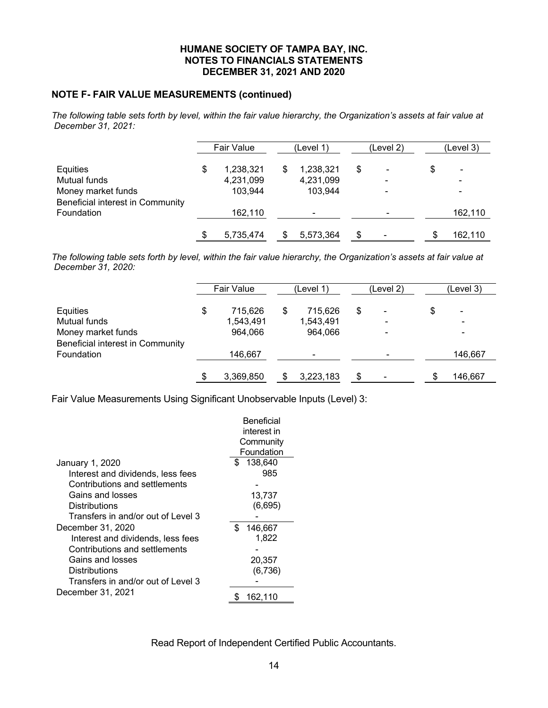# **NOTE F- FAIR VALUE MEASUREMENTS (continued)**

*The following table sets forth by level, within the fair value hierarchy, the Organization's assets at fair value at December 31, 2021:* 

|                                  | <b>Fair Value</b> | (Level 1)       | (Level 2) | (Level 3)      |
|----------------------------------|-------------------|-----------------|-----------|----------------|
| Equities                         | \$<br>1,238,321   | \$<br>1,238,321 | \$        | $\blacksquare$ |
| Mutual funds                     | 4,231,099         | 4,231,099       | -         |                |
| Money market funds               | 103,944           | 103,944         |           |                |
| Beneficial interest in Community |                   |                 |           |                |
| Foundation                       | 162,110           | $\blacksquare$  |           | 162,110        |
|                                  | 5,735,474         | 5,573,364       | \$        | 162,110        |

*The following table sets forth by level, within the fair value hierarchy, the Organization's assets at fair value at December 31, 2020:* 

|                                  | <b>Fair Value</b> |    | (Level 1)                | (Level 2) |                          |    | (Level 3)                |  |
|----------------------------------|-------------------|----|--------------------------|-----------|--------------------------|----|--------------------------|--|
|                                  |                   |    |                          |           |                          |    |                          |  |
| Equities                         | \$<br>715,626     | \$ | 715,626                  | S         | ۰                        | \$ | $\blacksquare$           |  |
| Mutual funds                     | 1,543,491         |    | 1,543,491                |           | -                        |    | $\overline{\phantom{0}}$ |  |
| Money market funds               | 964,066           |    | 964,066                  |           | -                        |    | -                        |  |
| Beneficial interest in Community |                   |    |                          |           |                          |    |                          |  |
| Foundation                       | 146,667           |    | $\overline{\phantom{0}}$ |           | $\overline{\phantom{0}}$ |    | 146,667                  |  |
|                                  |                   |    |                          |           |                          |    |                          |  |
|                                  | 3,369,850         | S  | 3,223,183                | \$        |                          | S  | 146,667                  |  |

Fair Value Measurements Using Significant Unobservable Inputs (Level) 3:

|                                    | Beneficial    |
|------------------------------------|---------------|
|                                    | interest in   |
|                                    | Community     |
|                                    | Foundation    |
| January 1, 2020                    | 138,640<br>S  |
| Interest and dividends, less fees  | 985           |
| Contributions and settlements      |               |
| Gains and losses                   | 13,737        |
| Distributions                      | (6,695)       |
| Transfers in and/or out of Level 3 |               |
| December 31, 2020                  | \$<br>146,667 |
| Interest and dividends, less fees  | 1,822         |
| Contributions and settlements      |               |
| Gains and losses                   | 20,357        |
| Distributions                      | (6,736)       |
| Transfers in and/or out of Level 3 |               |
| December 31, 2021                  | 162,110       |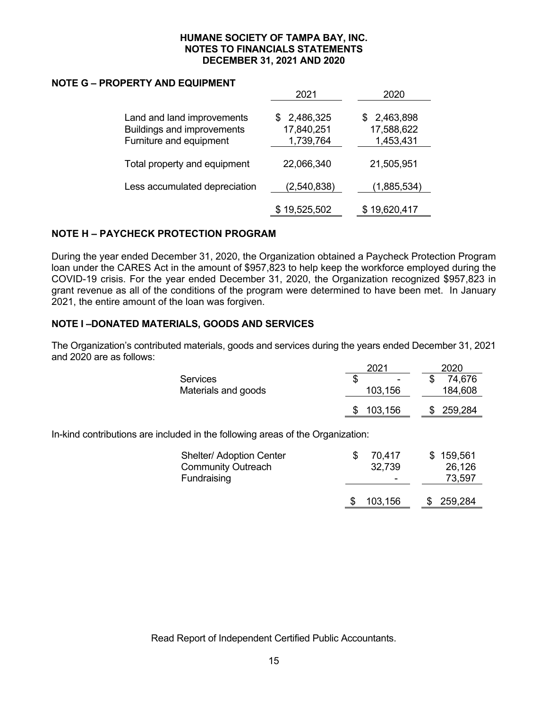# **NOTE G – PROPERTY AND EQUIPMENT**

|                                                                                            | 2021                                   | 2020                                   |
|--------------------------------------------------------------------------------------------|----------------------------------------|----------------------------------------|
| Land and land improvements<br><b>Buildings and improvements</b><br>Furniture and equipment | \$2,486,325<br>17,840,251<br>1,739,764 | \$2,463,898<br>17,588,622<br>1,453,431 |
| Total property and equipment                                                               | 22,066,340                             | 21,505,951                             |
| Less accumulated depreciation                                                              | (2,540,838)                            | (1,885,534)                            |
|                                                                                            | \$19,525,502                           | \$19,620,417                           |

# **NOTE H – PAYCHECK PROTECTION PROGRAM**

During the year ended December 31, 2020, the Organization obtained a Paycheck Protection Program loan under the CARES Act in the amount of \$957,823 to help keep the workforce employed during the COVID-19 crisis. For the year ended December 31, 2020, the Organization recognized \$957,823 in grant revenue as all of the conditions of the program were determined to have been met. In January 2021, the entire amount of the loan was forgiven.

# **NOTE I –DONATED MATERIALS, GOODS AND SERVICES**

The Organization's contributed materials, goods and services during the years ended December 31, 2021 and 2020 are as follows: 2021 2020

|                                                                                | ZUZ I          | ∠∪∠∪         |
|--------------------------------------------------------------------------------|----------------|--------------|
| <b>Services</b>                                                                | \$             | 74,676<br>S  |
| Materials and goods                                                            | 103,156        | 184,608      |
|                                                                                | 103,156<br>\$. | 259,284<br>S |
| In-kind contributions are included in the following areas of the Organization: |                |              |
| <b>Shelter/ Adoption Center</b>                                                | \$<br>70,417   | 159,561<br>S |
| <b>Community Outreach</b>                                                      | 32,739         | 26,126       |
| Fundraising                                                                    |                | 73,597       |
|                                                                                | 103,156        | 259,284      |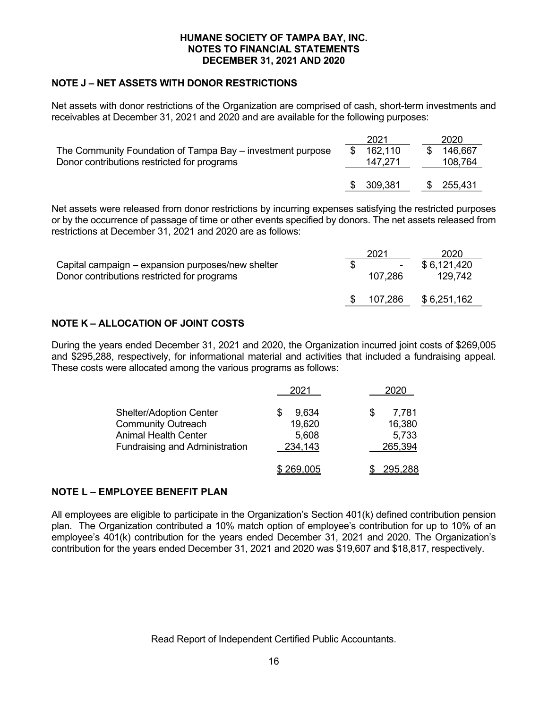# **NOTE J – NET ASSETS WITH DONOR RESTRICTIONS**

Net assets with donor restrictions of the Organization are comprised of cash, short-term investments and receivables at December 31, 2021 and 2020 and are available for the following purposes:

|                                                            |     | 2021    | 2020    |
|------------------------------------------------------------|-----|---------|---------|
| The Community Foundation of Tampa Bay – investment purpose | \$. | 162.110 | 146.667 |
| Donor contributions restricted for programs                |     | 147.271 | 108,764 |
|                                                            |     |         |         |
|                                                            |     | 309,381 | 255,431 |

Net assets were released from donor restrictions by incurring expenses satisfying the restricted purposes or by the occurrence of passage of time or other events specified by donors. The net assets released from restrictions at December 31, 2021 and 2020 are as follows:

|                                                   |  | 2021                     | 2020        |
|---------------------------------------------------|--|--------------------------|-------------|
| Capital campaign – expansion purposes/new shelter |  | $\overline{\phantom{a}}$ | \$6,121,420 |
| Donor contributions restricted for programs       |  | 107,286                  | 129,742     |
|                                                   |  | 107,286                  | \$6,251,162 |

# **NOTE K – ALLOCATION OF JOINT COSTS**

During the years ended December 31, 2021 and 2020, the Organization incurred joint costs of \$269,005 and \$295,288, respectively, for informational material and activities that included a fundraising appeal. These costs were allocated among the various programs as follows:

|                                       | 2021    | 2020    |
|---------------------------------------|---------|---------|
| <b>Shelter/Adoption Center</b>        | 9,634   | 7,781   |
| <b>Community Outreach</b>             | 19,620  | 16,380  |
| <b>Animal Health Center</b>           | 5,608   | 5,733   |
| <b>Fundraising and Administration</b> | 234,143 | 265,394 |
|                                       | 269,005 | 295,288 |

# **NOTE L – EMPLOYEE BENEFIT PLAN**

All employees are eligible to participate in the Organization's Section 401(k) defined contribution pension plan. The Organization contributed a 10% match option of employee's contribution for up to 10% of an employee's 401(k) contribution for the years ended December 31, 2021 and 2020. The Organization's contribution for the years ended December 31, 2021 and 2020 was \$19,607 and \$18,817, respectively.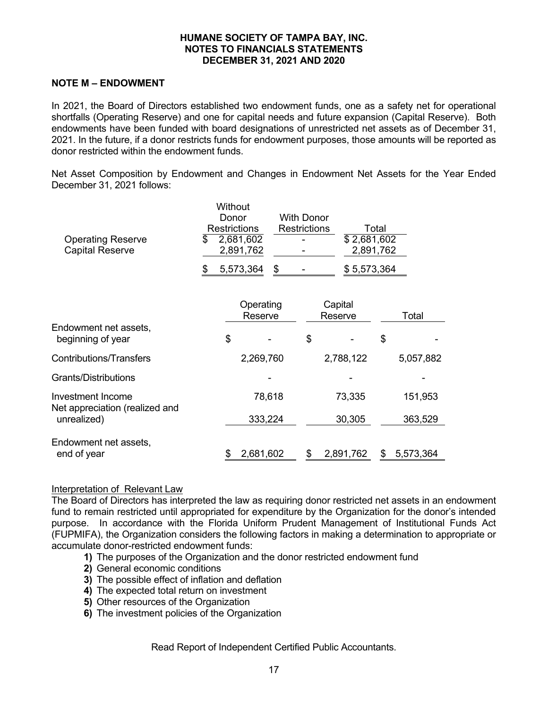# **NOTE M – ENDOWMENT**

In 2021, the Board of Directors established two endowment funds, one as a safety net for operational shortfalls (Operating Reserve) and one for capital needs and future expansion (Capital Reserve). Both endowments have been funded with board designations of unrestricted net assets as of December 31, 2021. In the future, if a donor restricts funds for endowment purposes, those amounts will be reported as donor restricted within the endowment funds.

Net Asset Composition by Endowment and Changes in Endowment Net Assets for the Year Ended December 31, 2021 follows:

| <b>Operating Reserve</b><br><b>Capital Reserve</b>         | \$<br>\$ | Without<br>Donor | <b>Restrictions</b><br>2,681,602<br>2,891,762<br>5,573,364 | \$     | <b>With Donor</b><br>Restrictions |                    | $\overline{\$}$ 2,681,602<br>2,891,762<br>\$5,573,364 | Total |           |  |
|------------------------------------------------------------|----------|------------------|------------------------------------------------------------|--------|-----------------------------------|--------------------|-------------------------------------------------------|-------|-----------|--|
|                                                            |          |                  | Operating<br>Reserve                                       |        |                                   | Capital<br>Reserve |                                                       |       | Total     |  |
| Endowment net assets,<br>beginning of year                 |          | \$               |                                                            |        | \$                                |                    |                                                       | \$    |           |  |
| <b>Contributions/Transfers</b>                             |          |                  | 2,269,760                                                  |        |                                   |                    | 2,788,122                                             |       | 5,057,882 |  |
| <b>Grants/Distributions</b>                                |          |                  |                                                            |        |                                   |                    |                                                       |       |           |  |
| <b>Investment Income</b><br>Net appreciation (realized and |          |                  |                                                            | 78,618 |                                   |                    | 73,335                                                |       | 151,953   |  |
| unrealized)                                                |          |                  | 333,224                                                    |        |                                   |                    | 30,305                                                |       | 363,529   |  |
| Endowment net assets,<br>end of year                       |          |                  | 2,681,602                                                  |        | \$                                |                    | 2,891,762                                             |       | 5,573,364 |  |
|                                                            |          |                  |                                                            |        |                                   |                    |                                                       | \$    |           |  |

#### Interpretation of Relevant Law

The Board of Directors has interpreted the law as requiring donor restricted net assets in an endowment fund to remain restricted until appropriated for expenditure by the Organization for the donor's intended purpose. In accordance with the Florida Uniform Prudent Management of Institutional Funds Act (FUPMIFA), the Organization considers the following factors in making a determination to appropriate or accumulate donor-restricted endowment funds:

- **1)** The purposes of the Organization and the donor restricted endowment fund
- **2)** General economic conditions
- **3)** The possible effect of inflation and deflation
- **4)** The expected total return on investment
- **5)** Other resources of the Organization
- **6)** The investment policies of the Organization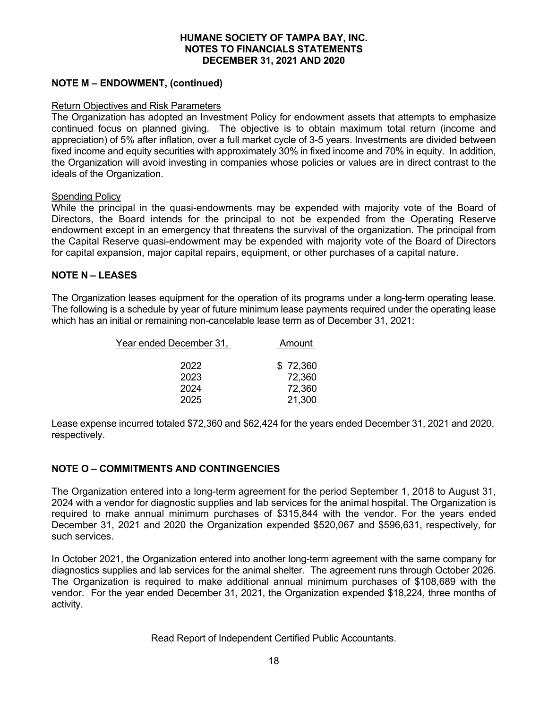# **NOTE M – ENDOWMENT, (continued)**

#### Return Objectives and Risk Parameters

The Organization has adopted an Investment Policy for endowment assets that attempts to emphasize continued focus on planned giving. The objective is to obtain maximum total return (income and appreciation) of 5% after inflation, over a full market cycle of 3-5 years. Investments are divided between fixed income and equity securities with approximately 30% in fixed income and 70% in equity. In addition, the Organization will avoid investing in companies whose policies or values are in direct contrast to the ideals of the Organization.

#### **Spending Policy**

While the principal in the quasi-endowments may be expended with majority vote of the Board of Directors, the Board intends for the principal to not be expended from the Operating Reserve endowment except in an emergency that threatens the survival of the organization. The principal from the Capital Reserve quasi-endowment may be expended with majority vote of the Board of Directors for capital expansion, major capital repairs, equipment, or other purchases of a capital nature.

# **NOTE N – LEASES**

The Organization leases equipment for the operation of its programs under a long-term operating lease. The following is a schedule by year of future minimum lease payments required under the operating lease which has an initial or remaining non-cancelable lease term as of December 31, 2021:

| Year ended December 31, | Amount   |  |  |  |
|-------------------------|----------|--|--|--|
| 2022                    | \$72,360 |  |  |  |
| 2023                    | 72,360   |  |  |  |
| 2024                    | 72,360   |  |  |  |
| 2025                    | 21,300   |  |  |  |

Lease expense incurred totaled \$72,360 and \$62,424 for the years ended December 31, 2021 and 2020, respectively.

# **NOTE O – COMMITMENTS AND CONTINGENCIES**

The Organization entered into a long-term agreement for the period September 1, 2018 to August 31, 2024 with a vendor for diagnostic supplies and lab services for the animal hospital. The Organization is required to make annual minimum purchases of \$315,844 with the vendor. For the years ended December 31, 2021 and 2020 the Organization expended \$520,067 and \$596,631, respectively, for such services.

In October 2021, the Organization entered into another long-term agreement with the same company for diagnostics supplies and lab services for the animal shelter. The agreement runs through October 2026. The Organization is required to make additional annual minimum purchases of \$108,689 with the vendor. For the year ended December 31, 2021, the Organization expended \$18,224, three months of activity.